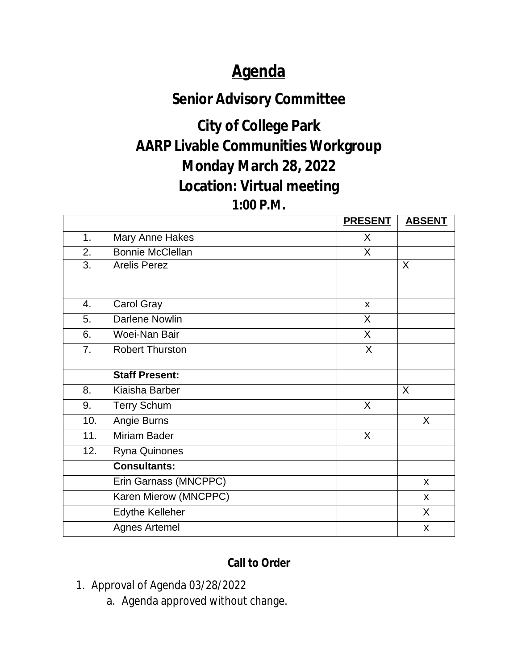## **Agenda**

### **Senior Advisory Committee**

# **City of College Park AARP Livable Communities Workgroup Monday March 28, 2022 Location: Virtual meeting**

#### **1:00 P.M.**

|     |                         | <b>PRESENT</b> | <b>ABSENT</b> |
|-----|-------------------------|----------------|---------------|
| 1.  | Mary Anne Hakes         | X              |               |
| 2.  | <b>Bonnie McClellan</b> | $\mathsf{X}$   |               |
| 3.  | <b>Arelis Perez</b>     |                | X             |
|     |                         |                |               |
| 4.  | Carol Gray              | X              |               |
| 5.  | <b>Darlene Nowlin</b>   | X              |               |
| 6.  | Woei-Nan Bair           | X              |               |
| 7.  | <b>Robert Thurston</b>  | X              |               |
|     | <b>Staff Present:</b>   |                |               |
| 8.  | Kiaisha Barber          |                | $\sf X$       |
| 9.  | <b>Terry Schum</b>      | X              |               |
| 10. | Angie Burns             |                | X             |
| 11. | <b>Miriam Bader</b>     | X              |               |
| 12. | Ryna Quinones           |                |               |
|     | <b>Consultants:</b>     |                |               |
|     | Erin Garnass (MNCPPC)   |                | $\mathsf{x}$  |
|     | Karen Mierow (MNCPPC)   |                | X             |
|     | <b>Edythe Kelleher</b>  |                | X             |
|     | <b>Agnes Artemel</b>    |                | X             |

#### **Call to Order**

- 1. Approval of Agenda 03/28/2022
	- a. Agenda approved without change.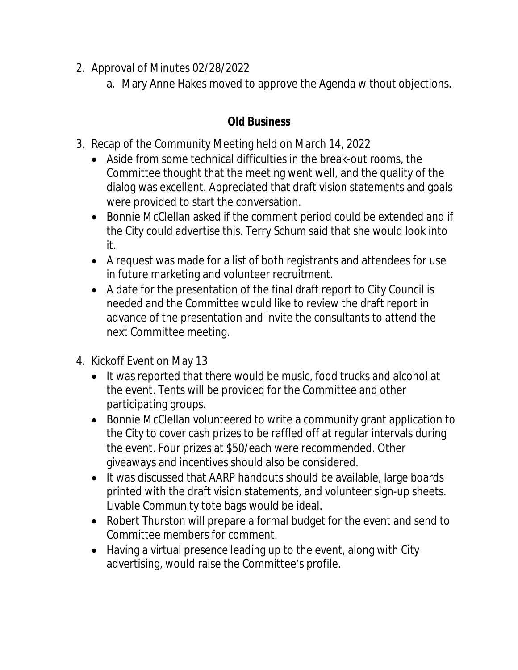- 2. Approval of Minutes 02/28/2022
	- a. Mary Anne Hakes moved to approve the Agenda without objections.

### **Old Business**

- 3. Recap of the Community Meeting held on March 14, 2022
	- Aside from some technical difficulties in the break-out rooms, the Committee thought that the meeting went well, and the quality of the dialog was excellent. Appreciated that draft vision statements and goals were provided to start the conversation.
	- Bonnie McClellan asked if the comment period could be extended and if the City could advertise this. Terry Schum said that she would look into it.
	- A request was made for a list of both registrants and attendees for use in future marketing and volunteer recruitment.
	- A date for the presentation of the final draft report to City Council is needed and the Committee would like to review the draft report in advance of the presentation and invite the consultants to attend the next Committee meeting.
- 4. Kickoff Event on May 13
	- It was reported that there would be music, food trucks and alcohol at the event. Tents will be provided for the Committee and other participating groups.
	- Bonnie McClellan volunteered to write a community grant application to the City to cover cash prizes to be raffled off at regular intervals during the event. Four prizes at \$50/each were recommended. Other giveaways and incentives should also be considered.
	- It was discussed that AARP handouts should be available, large boards printed with the draft vision statements, and volunteer sign-up sheets. Livable Community tote bags would be ideal.
	- Robert Thurston will prepare a formal budget for the event and send to Committee members for comment.
	- Having a virtual presence leading up to the event, along with City advertising, would raise the Committee's profile.